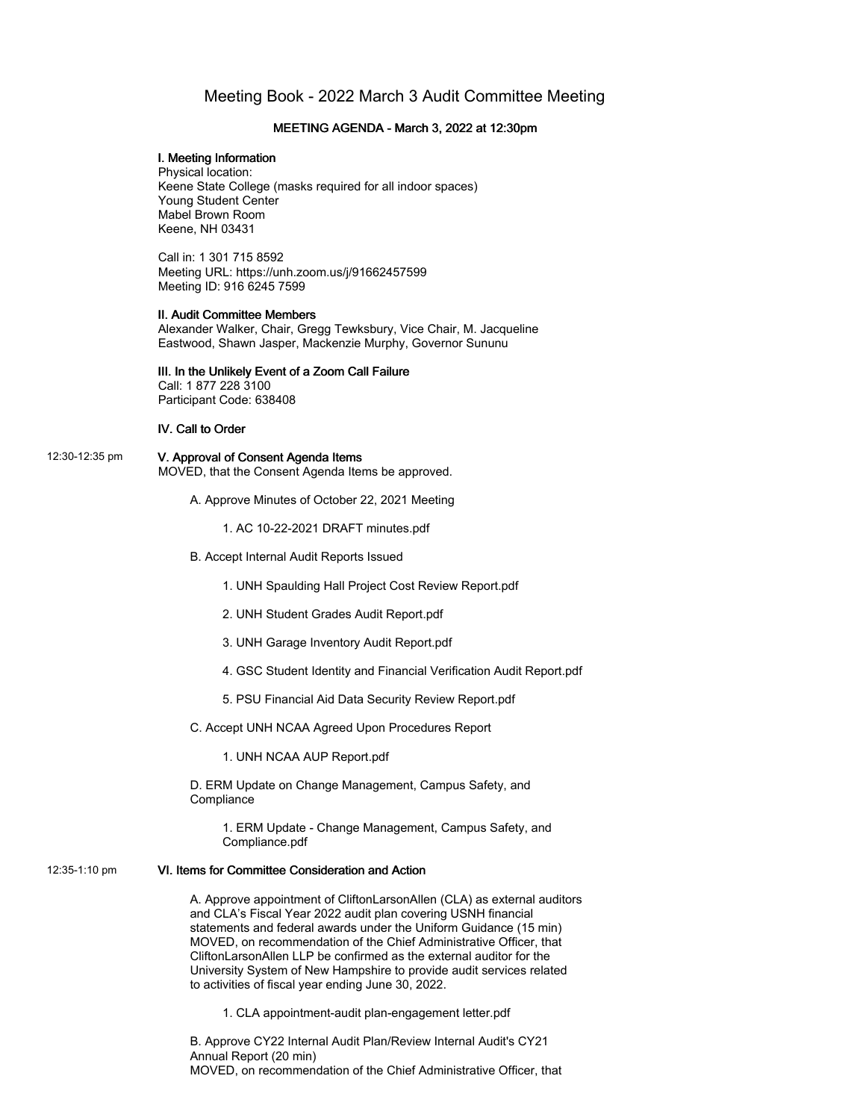# Meeting Book - 2022 March 3 Audit Committee Meeting

#### MEETING AGENDA - March 3, 2022 at 12:30pm

#### I. Meeting Information

Physical location: Keene State College (masks required for all indoor spaces) Young Student Center Mabel Brown Room Keene, NH 03431

Call in: 1 301 715 8592 Meeting URL: https://unh.zoom.us/j/91662457599 Meeting ID: 916 6245 7599

#### II. Audit Committee Members

Alexander Walker, Chair, Gregg Tewksbury, Vice Chair, M. Jacqueline Eastwood, Shawn Jasper, Mackenzie Murphy, Governor Sununu

#### III. In the Unlikely Event of a Zoom Call Failure Call: 1 877 228 3100

Participant Code: 638408

#### IV. Call to Order

#### 12:30-12:35 pm V. Approval of Consent Agenda Items MOVED, that the Consent Agenda Items be approved.

A. Approve Minutes of October 22, 2021 Meeting

1. AC 10-22-2021 DRAFT minutes.pdf

B. Accept Internal Audit Reports Issued

1. UNH Spaulding Hall Project Cost Review Report.pdf

- 2. UNH Student Grades Audit Report.pdf
- 3. UNH Garage Inventory Audit Report.pdf
- 4. GSC Student Identity and Financial Verification Audit Report.pdf
- 5. PSU Financial Aid Data Security Review Report.pdf

C. Accept UNH NCAA Agreed Upon Procedures Report

1. UNH NCAA AUP Report.pdf

D. ERM Update on Change Management, Campus Safety, and **Compliance** 

1. ERM Update - Change Management, Campus Safety, and Compliance.pdf

## 12:35-1:10 pm VI. Items for Committee Consideration and Action

A. Approve appointment of CliftonLarsonAllen (CLA) as external auditors and CLA's Fiscal Year 2022 audit plan covering USNH financial statements and federal awards under the Uniform Guidance (15 min) MOVED, on recommendation of the Chief Administrative Officer, that CliftonLarsonAllen LLP be confirmed as the external auditor for the University System of New Hampshire to provide audit services related to activities of fiscal year ending June 30, 2022.

1. CLA appointment-audit plan-engagement letter.pdf

B. Approve CY22 Internal Audit Plan/Review Internal Audit's CY21 Annual Report (20 min) MOVED, on recommendation of the Chief Administrative Officer, that